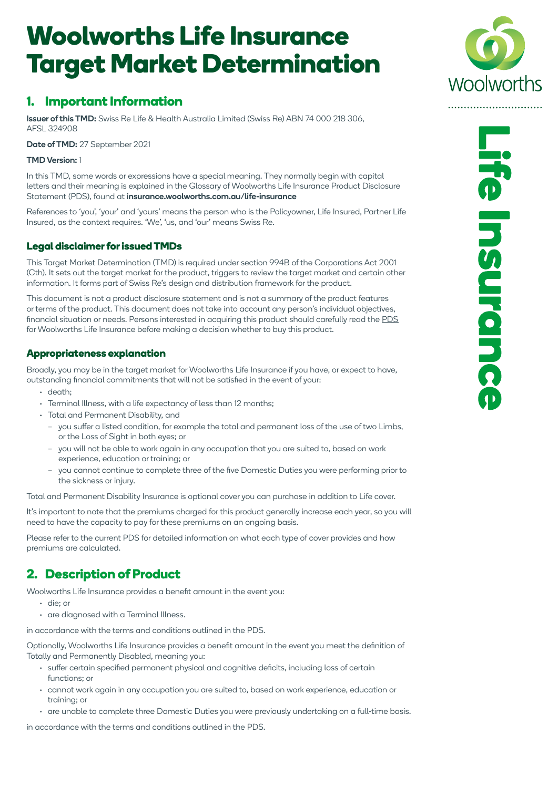# **Woolworths Life Insurance Target Market Determination**

# **1. Important Information**

Issuer of this TMD: Swiss Re Life & Health Australia Limited (Swiss Re) ABN 74 000 218 306, AFSL 324908

Date of TMD: 27 September 2021

#### TMD Version: 1

In this TMD, some words or expressions have a special meaning. They normally begin with capital letters and their meaning is explained in the Glossary of Woolworths Life Insurance Product Disclosure Statement (PDS), found at insurance.woolworths.com.au/life-insurance

References to 'you', 'your' and 'yours' means the person who is the Policyowner, Life Insured, Partner Life Insured, as the context requires. 'We', 'us, and 'our' means Swiss Re.

### **Legal disclaimer for issued TMDs**

This Target Market Determination (TMD) is required under section 994B of the Corporations Act 2001 (Cth). It sets out the target market for the product, triggers to review the target market and certain other information. It forms part of Swiss Re's design and distribution framework for the product.

This document is not a product disclosure statement and is not a summary of the product features or terms of the product. This document does not take into account any person's individual objectives, financial situation or needs. Persons interested in acquiring this product should carefully read the [PDS](https://insurance.woolworths.com.au/life-insurance/useful-documents.html) for Woolworths Life Insurance before making a decision whether to buy this product.

## **Appropriateness explanation**

Broadly, you may be in the target market for Woolworths Life Insurance if you have, or expect to have, outstanding financial commitments that will not be satisfied in the event of your:

- $\cdot$  death:
- Terminal Illness, with a life expectancy of less than 12 months;
- Total and Permanent Disability, and
	- you suffer a listed condition, for example the total and permanent loss of the use of two Limbs, or the Loss of Sight in both eyes; or
	- you will not be able to work again in any occupation that you are suited to, based on work experience, education or training; or
	- you cannot continue to complete three of the five Domestic Duties you were performing prior to the sickness or injury.

Total and Permanent Disability Insurance is optional cover you can purchase in addition to Life cover.

It's important to note that the premiums charged for this product generally increase each year, so you will need to have the capacity to pay for these premiums on an ongoing basis.

Please refer to the current PDS for detailed information on what each type of cover provides and how premiums are calculated.

# **2. Description of Product**

Woolworths Life Insurance provides a benefit amount in the event you:

- die; or
- are diagnosed with a Terminal Illness.

in accordance with the terms and conditions outlined in the PDS.

Optionally, Woolworths Life Insurance provides a benefit amount in the event you meet the definition of Totally and Permanently Disabled, meaning you:

- suffer certain specified permanent physical and cognitive deficits, including loss of certain functions; or
- cannot work again in any occupation you are suited to, based on work experience, education or training; or
- are unable to complete three Domestic Duties you were previously undertaking on a full-time basis.

in accordance with the terms and conditions outlined in the PDS.

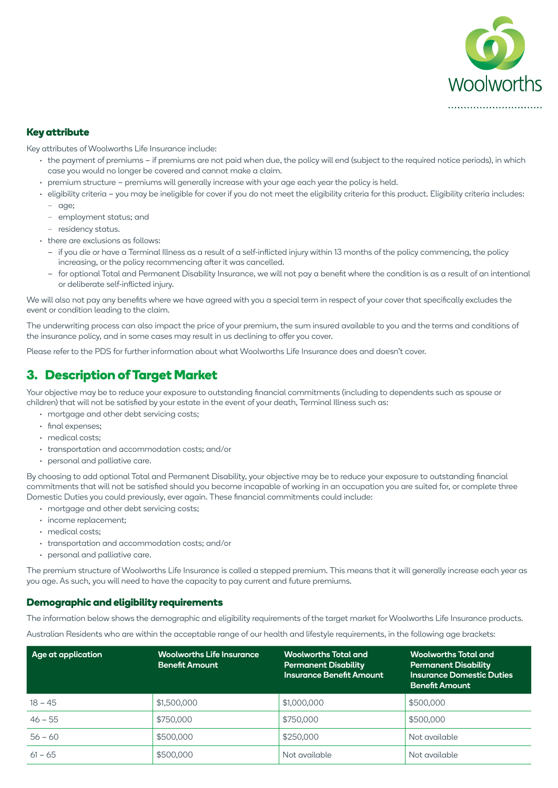

#### **Key attribute**

Key attributes of Woolworths Life Insurance include:

- the payment of premiums if premiums are not paid when due, the policy will end (subject to the required notice periods), in which case you would no longer be covered and cannot make a claim.
- premium structure premiums will generally increase with your age each year the policy is held.
- eligibility criteria you may be ineligible for cover if you do not meet the eligibility criteria for this product. Eligibility criteria includes: – age;
	- employment status; and
	- residency status.
- there are exclusions as follows:
	- if you die or have a Terminal Illness as a result of a self-inflicted injury within 13 months of the policy commencing, the policy increasing, or the policy recommencing after it was cancelled.
	- for optional Total and Permanent Disability Insurance, we will not pay a benefit where the condition is as a result of an intentional or deliberate self-inflicted injury.

We will also not pay any benefits where we have agreed with you a special term in respect of your cover that specifically excludes the event or condition leading to the claim.

The underwriting process can also impact the price of your premium, the sum insured available to you and the terms and conditions of the insurance policy, and in some cases may result in us declining to offer you cover.

Please refer to the PDS for further information about what Woolworths Life Insurance does and doesn't cover.

## **3. Description of Target Market**

Your objective may be to reduce your exposure to outstanding financial commitments (including to dependents such as spouse or children) that will not be satisfied by your estate in the event of your death, Terminal Illness such as:

- mortgage and other debt servicing costs;
- final expenses;
- medical costs;
- transportation and accommodation costs; and/or
- personal and palliative care.

By choosing to add optional Total and Permanent Disability, your objective may be to reduce your exposure to outstanding financial commitments that will not be satisfied should you become incapable of working in an occupation you are suited for, or complete three Domestic Duties you could previously, ever again. These financial commitments could include:

- mortgage and other debt servicing costs;
- income replacement:
- medical costs;
- transportation and accommodation costs; and/or
- personal and palliative care.

The premium structure of Woolworths Life Insurance is called a stepped premium. This means that it will generally increase each year as you age. As such, you will need to have the capacity to pay current and future premiums.

#### **Demographic and eligibility requirements**

The information below shows the demographic and eligibility requirements of the target market for Woolworths Life Insurance products.

Australian Residents who are within the acceptable range of our health and lifestyle requirements, in the following age brackets:

| Age at application | <b>Woolworths Life Insurance</b><br><b>Benefit Amount</b> | <b>Woolworths Total and</b><br><b>Permanent Disability</b><br><b>Insurance Benefit Amount</b> | Woolworths Total and<br><b>Permanent Disability</b><br><b>Insurance Domestic Duties</b><br><b>Benefit Amount</b> |
|--------------------|-----------------------------------------------------------|-----------------------------------------------------------------------------------------------|------------------------------------------------------------------------------------------------------------------|
| $18 - 45$          | \$1,500,000                                               | \$1,000,000                                                                                   | \$500,000                                                                                                        |
| $46 - 55$          | \$750,000                                                 | \$750,000                                                                                     | \$500,000                                                                                                        |
| $56 - 60$          | \$500,000                                                 | \$250,000                                                                                     | Not available                                                                                                    |
| $61 - 65$          | \$500,000                                                 | Not available                                                                                 | Not available                                                                                                    |